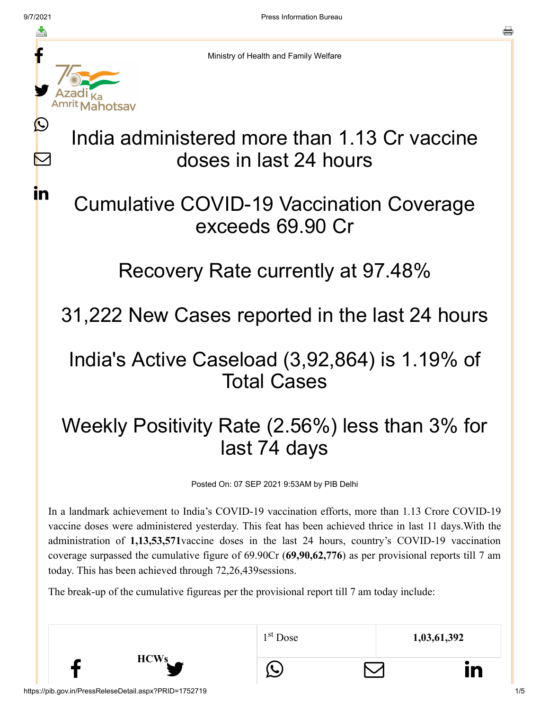f

y.

ahotsay

L

 $\blacktriangleright$ 

in.

o

Ministry of Health and Family Welfare

# India administered more than 1.13 Cr vaccine doses in last 24 hours

## Cumulative COVID-19 Vaccination Coverage exceeds 69.90 Cr

#### Recovery Rate currently at 97.48%

## 31,222 New Cases reported in the last 24 hours

## India's Active Caseload (3,92,864) is 1.19% of Total Cases

# Weekly Positivity Rate (2.56%) less than 3% for last 74 days

Posted On: 07 SEP 2021 9:53AM by PIB Delhi

In a landmark achievement to India's COVID-19 vaccination efforts, more than 1.13 Crore COVID-19 vaccine doses were administered yesterday. This feat has been achieved thrice in last 11 days.With the administration of **1,13,53,571**vaccine doses in the last 24 hours, country's COVID-19 vaccination coverage surpassed the cumulative figure of 69.90Cr (**69,90,62,776**) as per provisional reports till 7 am today. This has been achieved through 72,26,439sessions.

The break-up of the cumulative figureas per the provisional report till 7 am today include:

|  |                                                        | $1st$ Dose | 1,03,61,392 |     |
|--|--------------------------------------------------------|------------|-------------|-----|
|  | <b>HCWs</b>                                            |            |             |     |
|  | https://pib.gov.in/PressReleseDetail.aspx?PRID=1752719 |            |             | 1/5 |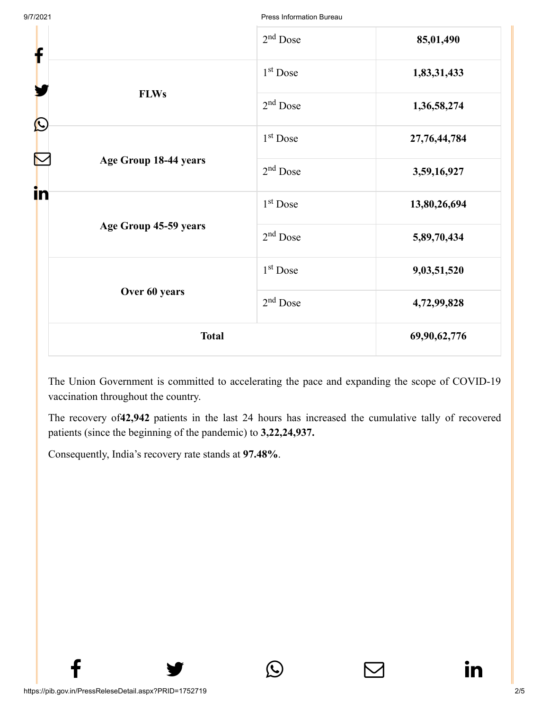9/7/2021 Press Information Bureau

| f                         | $2nd$ Dose           | 85,01,490    |
|---------------------------|----------------------|--------------|
|                           | 1 <sup>st</sup> Dose | 1,83,31,433  |
| <b>FLWs</b><br>$\bigcirc$ | $2nd$ Dose           | 1,36,58,274  |
|                           | $1st$ Dose           | 27,76,44,784 |
| Age Group 18-44 years     | $2nd$ Dose           | 3,59,16,927  |
| in                        | $1st$ Dose           | 13,80,26,694 |
| Age Group 45-59 years     | $2nd$ Dose           | 5,89,70,434  |
|                           | $1st$ Dose           | 9,03,51,520  |
| Over 60 years             | $2nd$ Dose           | 4,72,99,828  |
| <b>Total</b>              | 69,90,62,776         |              |

The Union Government is committed to accelerating the pace and expanding the scope of COVID-19 vaccination throughout the country.

The recovery of**42,942** patients in the last 24 hours has increased the cumulative tally of recovered patients (since the beginning of the pandemic) to **3,22,24,937.**

 $f$   $\rightarrow$   $\circ$   $\quad \circ$  in

Consequently, India's recovery rate stands at **97.48%**.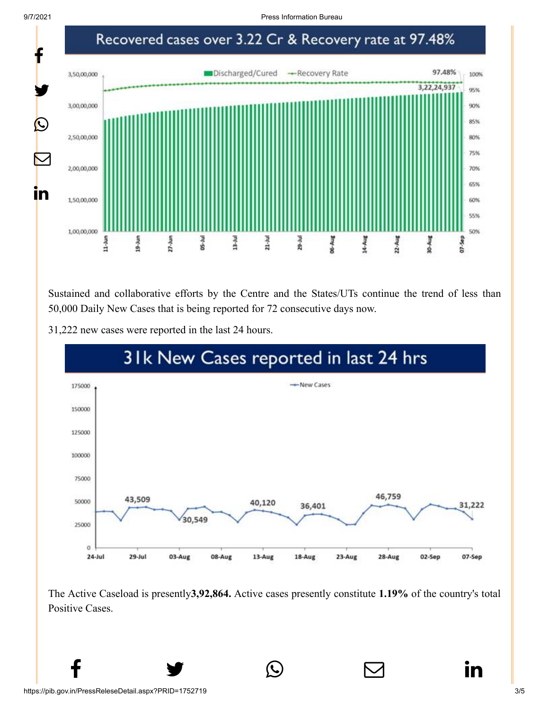9/7/2021 Press Information Bureau



Sustained and collaborative efforts by the Centre and the States/UTs continue the trend of less than 50,000 Daily New Cases that is being reported for 72 consecutive days now.

31,222 new cases were reported in the last 24 hours.



The Active Caseload is presently**3,92,864.** Active cases presently constitute **1.19%** of the country's total Positive Cases.

 $f$   $\rightarrow$   $\circ$   $\quad \circ$  in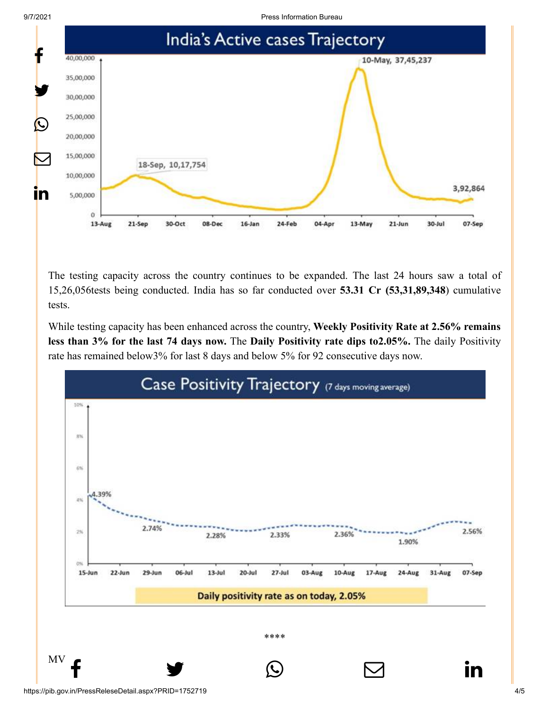

9/7/2021 Press Information Bureau



The testing capacity across the country continues to be expanded. The last 24 hours saw a total of 15,26,056tests being conducted. India has so far conducted over **53.31 Cr (53,31,89,348**) cumulative tests.

While testing capacity has been enhanced across the country, **Weekly Positivity Rate at 2.56% remains less than 3% for the last 74 days now.** The **Daily Positivity rate dips to2.05%.** The daily Positivity rate has remained below3% for last 8 days and below 5% for 92 consecutive days now.